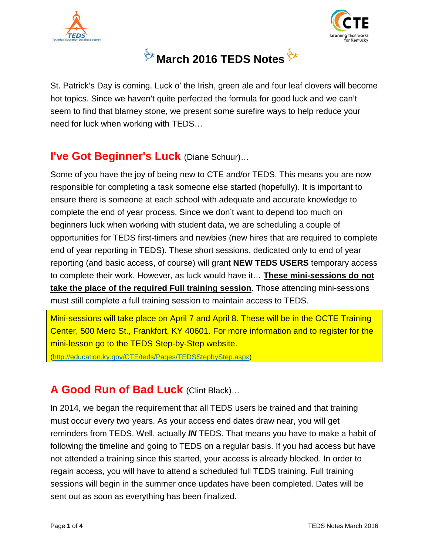





St. Patrick's Day is coming. Luck o' the Irish, green ale and four leaf clovers will become hot topics. Since we haven't quite perfected the formula for good luck and we can't seem to find that blarney stone, we present some surefire ways to help reduce your need for luck when working with TEDS…

### **I've Got Beginner's Luck** (Diane Schuur)…

Some of you have the joy of being new to CTE and/or TEDS. This means you are now responsible for completing a task someone else started (hopefully). It is important to ensure there is someone at each school with adequate and accurate knowledge to complete the end of year process. Since we don't want to depend too much on beginners luck when working with student data, we are scheduling a couple of opportunities for TEDS first-timers and newbies (new hires that are required to complete end of year reporting in TEDS). These short sessions, dedicated only to end of year reporting (and basic access, of course) will grant **NEW TEDS USERS** temporary access to complete their work. However, as luck would have it… **These mini-sessions do not take the place of the required Full training session**. Those attending mini-sessions must still complete a full training session to maintain access to TEDS.

Mini-sessions will take place on April 7 and April 8. These will be in the OCTE Training Center, 500 Mero St., Frankfort, KY 40601. For more information and to register for the mini-lesson go to the TEDS Step-by-Step website.

[\(http://education.ky.gov/CTE/teds/Pages/TEDSStepbyStep.aspx\)](http://education.ky.gov/CTE/teds/Pages/TEDSStepbyStep.aspx)

# A Good Run of Bad Luck (Clint Black)...

In 2014, we began the requirement that all TEDS users be trained and that training must occur every two years. As your access end dates draw near, you will get reminders from TEDS. Well, actually *IN* TEDS. That means you have to make a habit of following the timeline and going to TEDS on a regular basis. If you had access but have not attended a training since this started, your access is already blocked. In order to regain access, you will have to attend a scheduled full TEDS training. Full training sessions will begin in the summer once updates have been completed. Dates will be sent out as soon as everything has been finalized.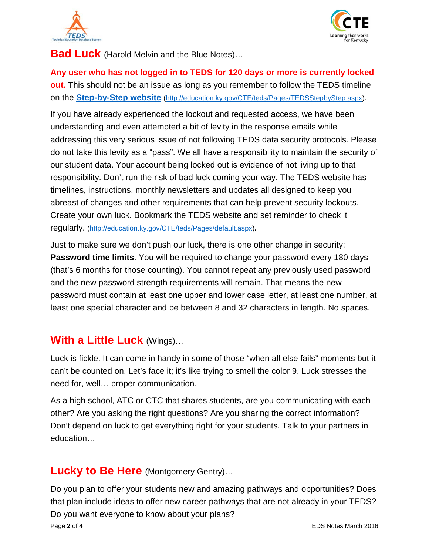



**Bad Luck** (Harold Melvin and the Blue Notes)…

**Any user who has not logged in to TEDS for 120 days or more is currently locked out.** This should not be an issue as long as you remember to follow the TEDS timeline on the **[Step-by-Step website](http://education.ky.gov/CTE/teds/Pages/TEDSStepbyStep.aspx)** [\(http://education.ky.gov/CTE/teds/Pages/TEDSStepbyStep.aspx\)](http://education.ky.gov/CTE/teds/Pages/TEDSStepbyStep.aspx).

If you have already experienced the lockout and requested access, we have been understanding and even attempted a bit of levity in the response emails while addressing this very serious issue of not following TEDS data security protocols. Please do not take this levity as a "pass". We all have a responsibility to maintain the security of our student data. Your account being locked out is evidence of not living up to that responsibility. Don't run the risk of bad luck coming your way. The TEDS website has timelines, instructions, monthly newsletters and updates all designed to keep you abreast of changes and other requirements that can help prevent security lockouts. Create your own luck. Bookmark the TEDS website and set reminder to check it regularly. [\(http://education.ky.gov/CTE/teds/Pages/default.aspx\)](http://education.ky.gov/CTE/teds/Pages/default.aspx)**.**

Just to make sure we don't push our luck, there is one other change in security: **Password time limits**. You will be required to change your password every 180 days (that's 6 months for those counting). You cannot repeat any previously used password and the new password strength requirements will remain. That means the new password must contain at least one upper and lower case letter, at least one number, at least one special character and be between 8 and 32 characters in length. No spaces.

# **With a Little Luck** (Wings)…

Luck is fickle. It can come in handy in some of those "when all else fails" moments but it can't be counted on. Let's face it; it's like trying to smell the color 9. Luck stresses the need for, well… proper communication.

As a high school, ATC or CTC that shares students, are you communicating with each other? Are you asking the right questions? Are you sharing the correct information? Don't depend on luck to get everything right for your students. Talk to your partners in education…

# **Lucky to Be Here** (Montgomery Gentry)…

Do you plan to offer your students new and amazing pathways and opportunities? Does that plan include ideas to offer new career pathways that are not already in your TEDS? Do you want everyone to know about your plans? Page **2** of **4** TEDS Notes March 2016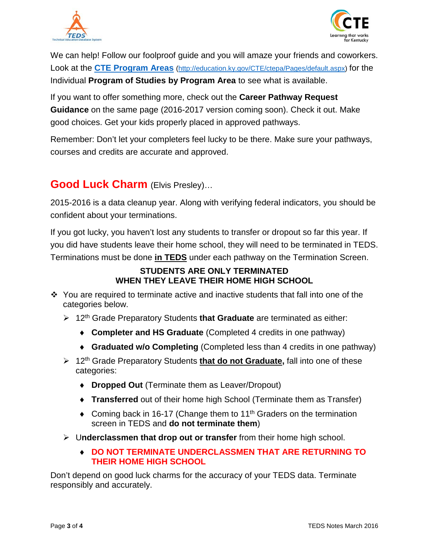



We can help! Follow our foolproof guide and you will amaze your friends and coworkers. Look at the **[CTE Program Areas](http://education.ky.gov/CTE/ctepa/Pages/default.aspx)** [\(http://education.ky.gov/CTE/ctepa/Pages/default.aspx\)](http://education.ky.gov/CTE/ctepa/Pages/default.aspx) for the Individual **Program of Studies by Program Area** to see what is available.

If you want to offer something more, check out the **Career Pathway Request Guidance** on the same page (2016-2017 version coming soon). Check it out. Make good choices. Get your kids properly placed in approved pathways.

Remember: Don't let your completers feel lucky to be there. Make sure your pathways, courses and credits are accurate and approved.

### **Good Luck Charm** (Elvis Presley)…

2015-2016 is a data cleanup year. Along with verifying federal indicators, you should be confident about your terminations.

If you got lucky, you haven't lost any students to transfer or dropout so far this year. If you did have students leave their home school, they will need to be terminated in TEDS. Terminations must be done **in TEDS** under each pathway on the Termination Screen.

#### **STUDENTS ARE ONLY TERMINATED WHEN THEY LEAVE THEIR HOME HIGH SCHOOL**

- $\div$  You are required to terminate active and inactive students that fall into one of the categories below.
	- 12th Grade Preparatory Students **that Graduate** are terminated as either:
		- ♦ **Completer and HS Graduate** (Completed 4 credits in one pathway)
		- ♦ **Graduated w/o Completing** (Completed less than 4 credits in one pathway)
	- 12th Grade Preparatory Students **that do not Graduate,** fall into one of these categories:
		- ♦ **Dropped Out** (Terminate them as Leaver/Dropout)
		- ♦ **Transferred** out of their home high School (Terminate them as Transfer)
		- $\bullet$  Coming back in 16-17 (Change them to 11<sup>th</sup> Graders on the termination screen in TEDS and **do not terminate them**)
	- U**nderclassmen that drop out or transfer** from their home high school.
		- ♦ **DO NOT TERMINATE UNDERCLASSMEN THAT ARE RETURNING TO THEIR HOME HIGH SCHOOL**

Don't depend on good luck charms for the accuracy of your TEDS data. Terminate responsibly and accurately.